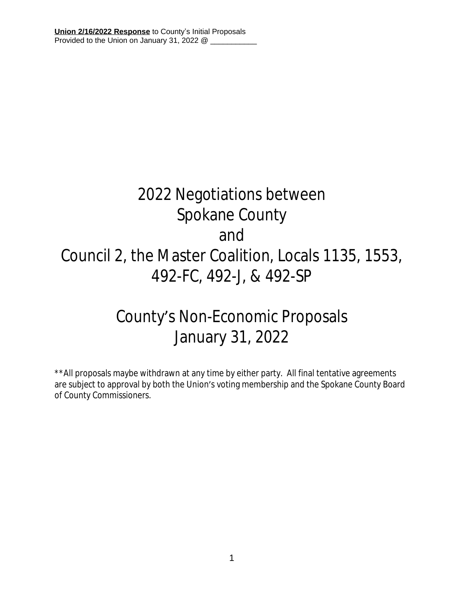# 2022 Negotiations between Spokane County and Council 2, the Master Coalition, Locals 1135, 1553, 492-FC, 492-J, & 492-SP

## County's Non-Economic Proposals January 31, 2022

\*\*All proposals maybe withdrawn at any time by either party. All final tentative agreements are subject to approval by both the Union's voting membership and the Spokane County Board of County Commissioners.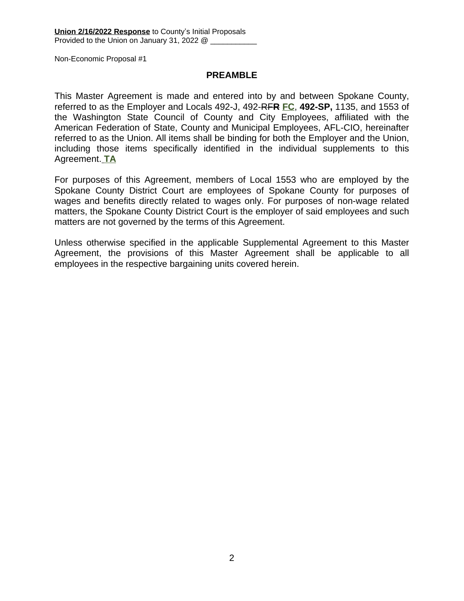#### **PREAMBLE**

This Master Agreement is made and entered into by and between Spokane County, referred to as the Employer and Locals 492-J, 492-RF**R FC**, **492-SP,** 1135, and 1553 of the Washington State Council of County and City Employees, affiliated with the American Federation of State, County and Municipal Employees, AFL-CIO, hereinafter referred to as the Union. All items shall be binding for both the Employer and the Union, including those items specifically identified in the individual supplements to this Agreement. **TA**

For purposes of this Agreement, members of Local 1553 who are employed by the Spokane County District Court are employees of Spokane County for purposes of wages and benefits directly related to wages only. For purposes of non-wage related matters, the Spokane County District Court is the employer of said employees and such matters are not governed by the terms of this Agreement.

Unless otherwise specified in the applicable Supplemental Agreement to this Master Agreement, the provisions of this Master Agreement shall be applicable to all employees in the respective bargaining units covered herein.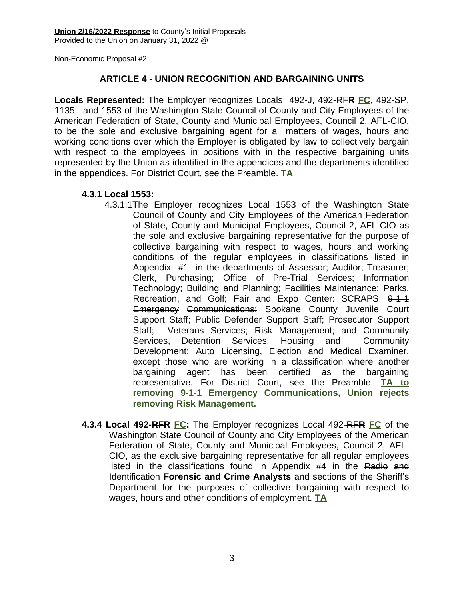#### **ARTICLE 4 - UNION RECOGNITION AND BARGAINING UNITS**

**Locals Represented:** The Employer recognizes Locals 492-J, 492-RF**R FC**, 492-SP, 1135, and 1553 of the Washington State Council of County and City Employees of the American Federation of State, County and Municipal Employees, Council 2, AFL-CIO, to be the sole and exclusive bargaining agent for all matters of wages, hours and working conditions over which the Employer is obligated by law to collectively bargain with respect to the employees in positions with in the respective bargaining units represented by the Union as identified in the appendices and the departments identified in the appendices. For District Court, see the Preamble. **TA**

#### **4.3.1 Local 1553:**

- 4.3.1.1The Employer recognizes Local 1553 of the Washington State Council of County and City Employees of the American Federation of State, County and Municipal Employees, Council 2, AFL-CIO as the sole and exclusive bargaining representative for the purpose of collective bargaining with respect to wages, hours and working conditions of the regular employees in classifications listed in Appendix #1 in the departments of Assessor; Auditor; Treasurer; Clerk, Purchasing; Office of Pre-Trial Services; Information Technology; Building and Planning; Facilities Maintenance; Parks, Recreation, and Golf; Fair and Expo Center: SCRAPS; 9-1-1 Emergency Communications; Spokane County Juvenile Court Support Staff; Public Defender Support Staff; Prosecutor Support Staff: Veterans Services: Risk Management: and Community Services, Detention Services, Housing and Community Development: Auto Licensing, Election and Medical Examiner, except those who are working in a classification where another bargaining agent has been certified as the bargaining representative. For District Court, see the Preamble. **TA to removing 9-1-1 Emergency Communications, Union rejects removing Risk Management.**
- **4.3.4 Local 492-RFR FC:** The Employer recognizes Local 492-RF**R FC** of the Washington State Council of County and City Employees of the American Federation of State, County and Municipal Employees, Council 2, AFL-CIO, as the exclusive bargaining representative for all regular employees listed in the classifications found in Appendix #4 in the Radio and Identification **Forensic and Crime Analysts** and sections of the Sheriff's Department for the purposes of collective bargaining with respect to wages, hours and other conditions of employment. **TA**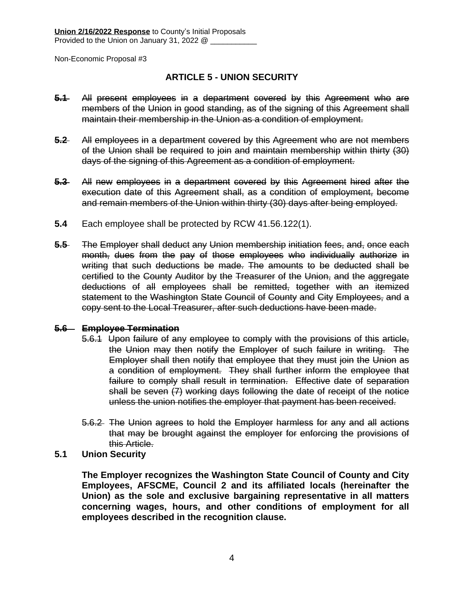#### **ARTICLE 5 - UNION SECURITY**

- **5.1** All present employees in a department covered by this Agreement who are members of the Union in good standing, as of the signing of this Agreement shall maintain their membership in the Union as a condition of employment.
- **5.2** All employees in a department covered by this Agreement who are not members of the Union shall be required to join and maintain membership within thirty (30) days of the signing of this Agreement as a condition of employment.
- **5.3** All new employees in a department covered by this Agreement hired after the execution date of this Agreement shall, as a condition of employment, become and remain members of the Union within thirty (30) days after being employed.
- **5.4** Each employee shall be protected by RCW 41.56.122(1).
- **5.5** The Employer shall deduct any Union membership initiation fees, and, once each month, dues from the pay of those employees who individually authorize in writing that such deductions be made. The amounts to be deducted shall be certified to the County Auditor by the Treasurer of the Union, and the aggregate deductions of all employees shall be remitted, together with an itemized statement to the Washington State Council of County and City Employees, and a copy sent to the Local Treasurer, after such deductions have been made.

#### **5.6 Employee Termination**

- 5.6.1 Upon failure of any employee to comply with the provisions of this article, the Union may then notify the Employer of such failure in writing. The Employer shall then notify that employee that they must join the Union as a condition of employment. They shall further inform the employee that failure to comply shall result in termination. Effective date of separation shall be seven (7) working days following the date of receipt of the notice unless the union notifies the employer that payment has been received.
- 5.6.2 The Union agrees to hold the Employer harmless for any and all actions that may be brought against the employer for enforcing the provisions of this Article.
- **5.1 Union Security**

**The Employer recognizes the Washington State Council of County and City Employees, AFSCME, Council 2 and its affiliated locals (hereinafter the Union) as the sole and exclusive bargaining representative in all matters concerning wages, hours, and other conditions of employment for all employees described in the recognition clause.**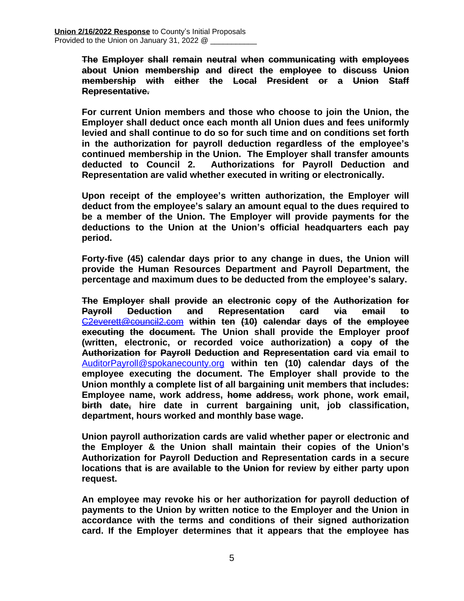**The Employer shall remain neutral when communicating with employees about Union membership and direct the employee to discuss Union membership with either the Local President or a Union Staff Representative.**

**For current Union members and those who choose to join the Union, the Employer shall deduct once each month all Union dues and fees uniformly levied and shall continue to do so for such time and on conditions set forth in the authorization for payroll deduction regardless of the employee's continued membership in the Union. The Employer shall transfer amounts deducted to Council 2. Authorizations for Payroll Deduction and Representation are valid whether executed in writing or electronically.** 

**Upon receipt of the employee's written authorization, the Employer will deduct from the employee's salary an amount equal to the dues required to be a member of the Union. The Employer will provide payments for the deductions to the Union at the Union's official headquarters each pay period.** 

**Forty-five (45) calendar days prior to any change in dues, the Union will provide the Human Resources Department and Payroll Department, the percentage and maximum dues to be deducted from the employee's salary.**

**The Employer shall provide an electronic copy of the Authorization for Payroll Deduction and Representation card via email to** [C2everett@council2.com](mailto:C2everett@council2.com) **within ten (10) calendar days of the employee executing the document. The Union shall provide the Employer proof (written, electronic, or recorded voice authorization) a copy of the Authorization for Payroll Deduction and Representation card via email to** [AuditorPayroll@spokanecounty.org](mailto:AuditorPayroll@spokanecounty.org) **within ten (10) calendar days of the employee executing the document. The Employer shall provide to the Union monthly a complete list of all bargaining unit members that includes: Employee name, work address, home address, work phone, work email, birth date, hire date in current bargaining unit, job classification, department, hours worked and monthly base wage.**

**Union payroll authorization cards are valid whether paper or electronic and the Employer & the Union shall maintain their copies of the Union's Authorization for Payroll Deduction and Representation cards in a secure locations that is are available to the Union for review by either party upon request.** 

**An employee may revoke his or her authorization for payroll deduction of payments to the Union by written notice to the Employer and the Union in accordance with the terms and conditions of their signed authorization card. If the Employer determines that it appears that the employee has**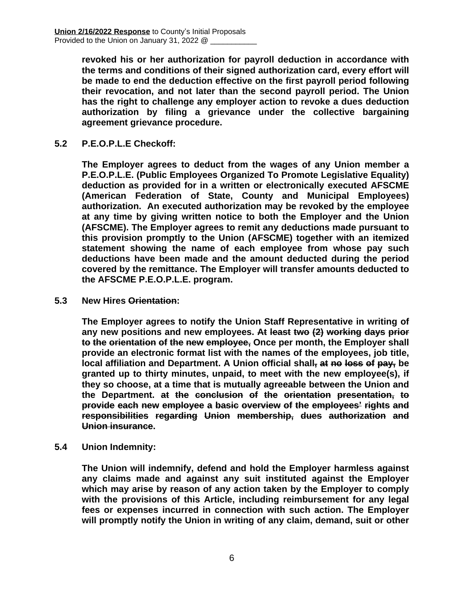**revoked his or her authorization for payroll deduction in accordance with the terms and conditions of their signed authorization card, every effort will be made to end the deduction effective on the first payroll period following their revocation, and not later than the second payroll period. The Union has the right to challenge any employer action to revoke a dues deduction authorization by filing a grievance under the collective bargaining agreement grievance procedure.**

**5.2 P.E.O.P.L.E Checkoff:**

**The Employer agrees to deduct from the wages of any Union member a P.E.O.P.L.E. (Public Employees Organized To Promote Legislative Equality) deduction as provided for in a written or electronically executed AFSCME (American Federation of State, County and Municipal Employees) authorization. An executed authorization may be revoked by the employee at any time by giving written notice to both the Employer and the Union (AFSCME). The Employer agrees to remit any deductions made pursuant to this provision promptly to the Union (AFSCME) together with an itemized statement showing the name of each employee from whose pay such deductions have been made and the amount deducted during the period covered by the remittance. The Employer will transfer amounts deducted to the AFSCME P.E.O.P.L.E. program.**

**5.3 New Hires Orientation:**

**The Employer agrees to notify the Union Staff Representative in writing of any new positions and new employees. At least two (2) working days prior to the orientation of the new employee, Once per month, the Employer shall provide an electronic format list with the names of the employees, job title, local affiliation and Department. A Union official shall, at no loss of pay, be granted up to thirty minutes, unpaid, to meet with the new employee(s), if they so choose, at a time that is mutually agreeable between the Union and the Department. at the conclusion of the orientation presentation, to provide each new employee a basic overview of the employees' rights and responsibilities regarding Union membership, dues authorization and Union insurance.**

**5.4 Union Indemnity:**

**The Union will indemnify, defend and hold the Employer harmless against any claims made and against any suit instituted against the Employer which may arise by reason of any action taken by the Employer to comply with the provisions of this Article, including reimbursement for any legal fees or expenses incurred in connection with such action. The Employer will promptly notify the Union in writing of any claim, demand, suit or other**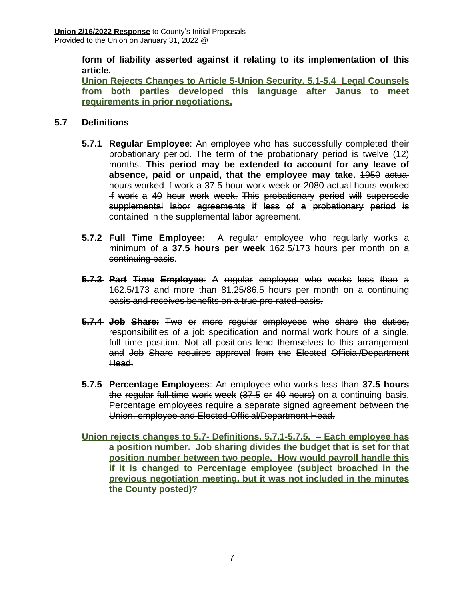**form of liability asserted against it relating to its implementation of this article.**

**Union Rejects Changes to Article 5-Union Security, 5.1-5.4 Legal Counsels from both parties developed this language after Janus to meet requirements in prior negotiations.**

#### **5.7 Definitions**

- **5.7.1 Regular Employee**: An employee who has successfully completed their probationary period. The term of the probationary period is twelve (12) months. **This period may be extended to account for any leave of absence, paid or unpaid, that the employee may take.** 1950 actual hours worked if work a 37.5 hour work week or 2080 actual hours worked if work a 40 hour work week. This probationary period will supersede supplemental labor agreements if less of a probationary period is contained in the supplemental labor agreement.
- **5.7.2 Full Time Employee:** A regular employee who regularly works a minimum of a **37.5 hours per week** 162.5/173 hours per month on a continuing basis.
- **5.7.3 Part Time Employee**: A regular employee who works less than a 162.5/173 and more than 81.25/86.5 hours per month on a continuing basis and receives benefits on a true pro-rated basis.
- **5.7.4 Job Share:** Two or more regular employees who share the duties, responsibilities of a job specification and normal work hours of a single, full time position. Not all positions lend themselves to this arrangement and Job Share requires approval from the Elected Official/Department Head.
- **5.7.5 Percentage Employees**: An employee who works less than **37.5 hours** the regular full-time work week (37.5 or 40 hours) on a continuing basis. Percentage employees require a separate signed agreement between the Union, employee and Elected Official/Department Head.

**Union rejects changes to 5.7- Definitions, 5.7.1-5.7.5. – Each employee has a position number. Job sharing divides the budget that is set for that position number between two people. How would payroll handle this if it is changed to Percentage employee (subject broached in the previous negotiation meeting, but it was not included in the minutes the County posted)?**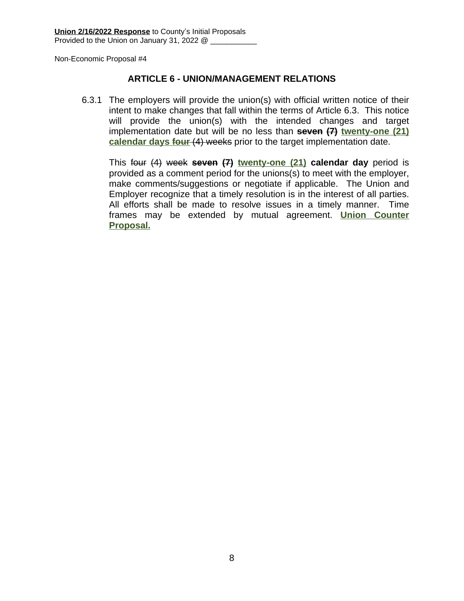#### **ARTICLE 6 - UNION/MANAGEMENT RELATIONS**

6.3.1 The employers will provide the union(s) with official written notice of their intent to make changes that fall within the terms of Article 6.3. This notice will provide the union(s) with the intended changes and target implementation date but will be no less than **seven (7) twenty-one (21) calendar days four** (4) weeks prior to the target implementation date.

This four (4) week **seven (7) twenty-one (21) calendar day** period is provided as a comment period for the unions(s) to meet with the employer, make comments/suggestions or negotiate if applicable. The Union and Employer recognize that a timely resolution is in the interest of all parties. All efforts shall be made to resolve issues in a timely manner. Time frames may be extended by mutual agreement. **Union Counter Proposal.**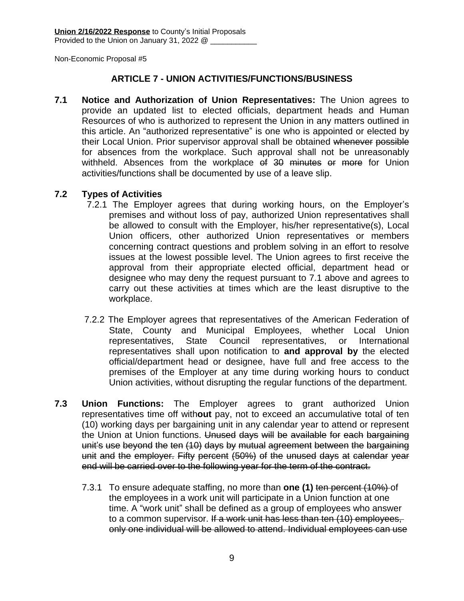#### **ARTICLE 7 - UNION ACTIVITIES/FUNCTIONS/BUSINESS**

**7.1 Notice and Authorization of Union Representatives:** The Union agrees to provide an updated list to elected officials, department heads and Human Resources of who is authorized to represent the Union in any matters outlined in this article. An "authorized representative" is one who is appointed or elected by their Local Union. Prior supervisor approval shall be obtained whenever possible for absences from the workplace. Such approval shall not be unreasonably withheld. Absences from the workplace of 30 minutes or more for Union activities/functions shall be documented by use of a leave slip.

#### **7.2 Types of Activities**

- 7.2.1 The Employer agrees that during working hours, on the Employer's premises and without loss of pay, authorized Union representatives shall be allowed to consult with the Employer, his/her representative(s), Local Union officers, other authorized Union representatives or members concerning contract questions and problem solving in an effort to resolve issues at the lowest possible level. The Union agrees to first receive the approval from their appropriate elected official, department head or designee who may deny the request pursuant to 7.1 above and agrees to carry out these activities at times which are the least disruptive to the workplace.
- 7.2.2 The Employer agrees that representatives of the American Federation of State, County and Municipal Employees, whether Local Union representatives, State Council representatives, or International representatives shall upon notification to **and approval by** the elected official/department head or designee, have full and free access to the premises of the Employer at any time during working hours to conduct Union activities, without disrupting the regular functions of the department.
- **7.3 Union Functions:** The Employer agrees to grant authorized Union representatives time off with**out** pay, not to exceed an accumulative total of ten (10) working days per bargaining unit in any calendar year to attend or represent the Union at Union functions. Unused days will be available for each bargaining unit's use beyond the ten (10) days by mutual agreement between the bargaining unit and the employer. Fifty percent (50%) of the unused days at calendar year end will be carried over to the following year for the term of the contract.
	- 7.3.1 To ensure adequate staffing, no more than **one (1)** ten percent (10%) of the employees in a work unit will participate in a Union function at one time. A "work unit" shall be defined as a group of employees who answer to a common supervisor. If a work unit has less than ten (10) employees, only one individual will be allowed to attend. Individual employees can use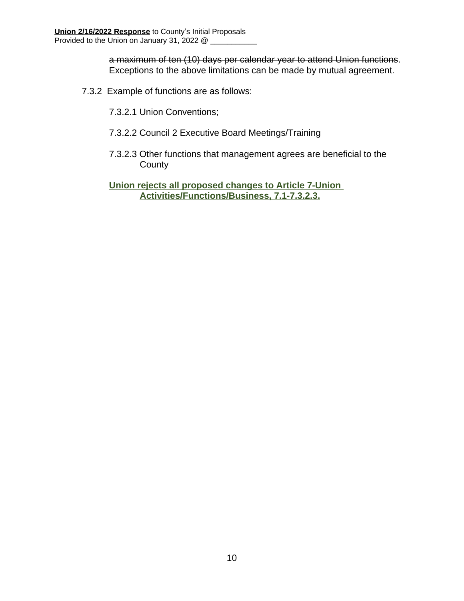a maximum of ten (10) days per calendar year to attend Union functions. Exceptions to the above limitations can be made by mutual agreement.

- 7.3.2 Example of functions are as follows:
	- 7.3.2.1 Union Conventions;
	- 7.3.2.2 Council 2 Executive Board Meetings/Training
	- 7.3.2.3 Other functions that management agrees are beneficial to the **County**

**Union rejects all proposed changes to Article 7-Union Activities/Functions/Business, 7.1-7.3.2.3.**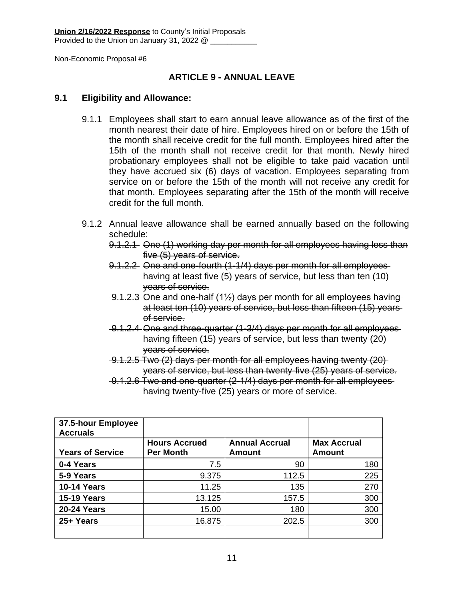#### **ARTICLE 9 - ANNUAL LEAVE**

#### **9.1 Eligibility and Allowance:**

- 9.1.1 Employees shall start to earn annual leave allowance as of the first of the month nearest their date of hire. Employees hired on or before the 15th of the month shall receive credit for the full month. Employees hired after the 15th of the month shall not receive credit for that month. Newly hired probationary employees shall not be eligible to take paid vacation until they have accrued six (6) days of vacation. Employees separating from service on or before the 15th of the month will not receive any credit for that month. Employees separating after the 15th of the month will receive credit for the full month.
- 9.1.2 Annual leave allowance shall be earned annually based on the following schedule:
	- 9.1.2.1 One (1) working day per month for all employees having less than five (5) years of service.
	- 9.1.2.2 One and one-fourth (1-1/4) days per month for all employees having at least five (5) years of service, but less than ten (10) years of service.
	- 9.1.2.3 One and one-half (1½) days per month for all employees having at least ten (10) years of service, but less than fifteen (15) years of service.
	- 9.1.2.4 One and three-quarter (1-3/4) days per month for all employees having fifteen (15) years of service, but less than twenty (20) years of service.
	- 9.1.2.5 Two (2) days per month for all employees having twenty (20) years of service, but less than twenty-five (25) years of service.
	- 9.1.2.6 Two and one-quarter (2-1/4) days per month for all employees having twenty-five (25) years or more of service.

| 37.5-hour Employee<br><b>Accruals</b> |                      |                       |                    |
|---------------------------------------|----------------------|-----------------------|--------------------|
|                                       | <b>Hours Accrued</b> | <b>Annual Accrual</b> | <b>Max Accrual</b> |
| <b>Years of Service</b>               | <b>Per Month</b>     | Amount                | <b>Amount</b>      |
| 0-4 Years                             | 7.5                  | 90                    | 180                |
| 5-9 Years                             | 9.375                | 112.5                 | 225                |
| <b>10-14 Years</b>                    | 11.25                | 135                   | 270                |
| <b>15-19 Years</b>                    | 13.125               | 157.5                 | 300                |
| <b>20-24 Years</b>                    | 15.00                | 180                   | 300                |
| 25+ Years                             | 16.875               | 202.5                 | 300                |
|                                       |                      |                       |                    |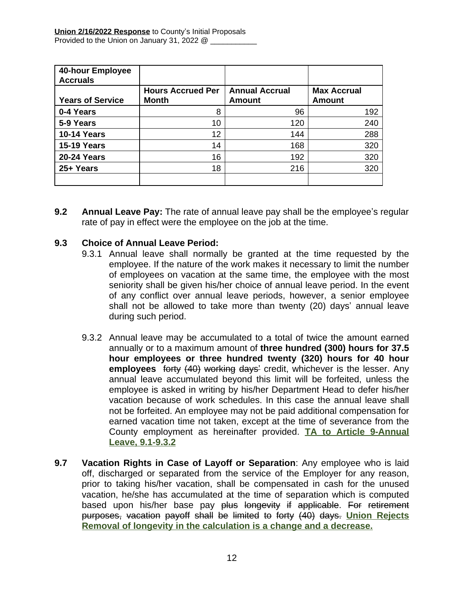| <b>40-hour Employee</b><br><b>Accruals</b> |                                          |                                 |                                     |
|--------------------------------------------|------------------------------------------|---------------------------------|-------------------------------------|
| <b>Years of Service</b>                    | <b>Hours Accrued Per</b><br><b>Month</b> | <b>Annual Accrual</b><br>Amount | <b>Max Accrual</b><br><b>Amount</b> |
| 0-4 Years                                  | 8                                        | 96                              | 192                                 |
| 5-9 Years                                  | 10                                       | 120                             | 240                                 |
| <b>10-14 Years</b>                         | 12                                       | 144                             | 288                                 |
| <b>15-19 Years</b>                         | 14                                       | 168                             | 320                                 |
| <b>20-24 Years</b>                         | 16                                       | 192                             | 320                                 |
| 25+ Years                                  | 18                                       | 216                             | 320                                 |
|                                            |                                          |                                 |                                     |

**9.2 Annual Leave Pay:** The rate of annual leave pay shall be the employee's regular rate of pay in effect were the employee on the job at the time.

#### **9.3 Choice of Annual Leave Period:**

- 9.3.1 Annual leave shall normally be granted at the time requested by the employee. If the nature of the work makes it necessary to limit the number of employees on vacation at the same time, the employee with the most seniority shall be given his/her choice of annual leave period. In the event of any conflict over annual leave periods, however, a senior employee shall not be allowed to take more than twenty (20) days' annual leave during such period.
- 9.3.2 Annual leave may be accumulated to a total of twice the amount earned annually or to a maximum amount of **three hundred (300) hours for 37.5 hour employees or three hundred twenty (320) hours for 40 hour employees** forty (40) working days' credit, whichever is the lesser. Any annual leave accumulated beyond this limit will be forfeited, unless the employee is asked in writing by his/her Department Head to defer his/her vacation because of work schedules. In this case the annual leave shall not be forfeited. An employee may not be paid additional compensation for earned vacation time not taken, except at the time of severance from the County employment as hereinafter provided. **TA to Article 9-Annual Leave, 9.1-9.3.2**
- **9.7 Vacation Rights in Case of Layoff or Separation**: Any employee who is laid off, discharged or separated from the service of the Employer for any reason, prior to taking his/her vacation, shall be compensated in cash for the unused vacation, he/she has accumulated at the time of separation which is computed based upon his/her base pay plus longevity if applicable. For retirement purposes, vacation payoff shall be limited to forty (40) days. **Union Rejects Removal of longevity in the calculation is a change and a decrease.**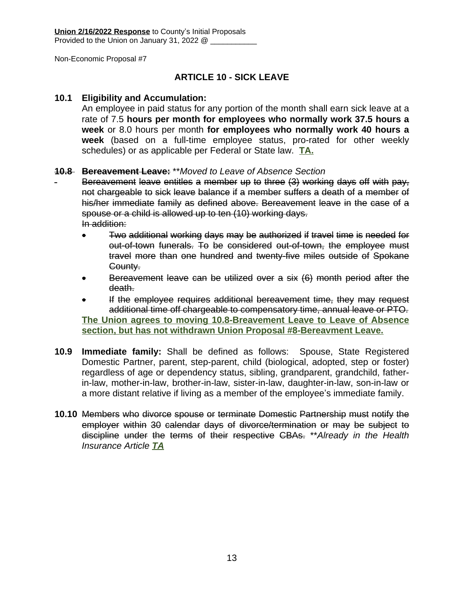#### **ARTICLE 10 - SICK LEAVE**

#### **10.1 Eligibility and Accumulation:**

An employee in paid status for any portion of the month shall earn sick leave at a rate of 7.5 **hours per month for employees who normally work 37.5 hours a week** or 8.0 hours per month **for employees who normally work 40 hours a week** (based on a full-time employee status, pro-rated for other weekly schedules) or as applicable per Federal or State law. **TA.**

#### **10.8 Bereavement Leave:** \*\**Moved to Leave of Absence Section*

Bereavement leave entitles a member up to three (3) working days off with pay, not chargeable to sick leave balance if a member suffers a death of a member of his/her immediate family as defined above. Bereavement leave in the case of a spouse or a child is allowed up to ten (10) working days. In addition:

- Two additional working days may be authorized if travel time is needed for out-of-town funerals. To be considered out-of-town, the employee must travel more than one hundred and twenty-five miles outside of Spokane County.
- Bereavement leave can be utilized over a six (6) month period after the death.
- If the employee requires additional bereavement time, they may request additional time off chargeable to compensatory time, annual leave or PTO. **The Union agrees to moving 10.8-Breavement Leave to Leave of Absence section, but has not withdrawn Union Proposal #8-Bereavment Leave.**
- **10.9 Immediate family:** Shall be defined as follows: Spouse, State Registered Domestic Partner, parent, step-parent, child (biological, adopted, step or foster) regardless of age or dependency status, sibling, grandparent, grandchild, fatherin-law, mother-in-law, brother-in-law, sister-in-law, daughter-in-law, son-in-law or a more distant relative if living as a member of the employee's immediate family.
- **10.10** Members who divorce spouse or terminate Domestic Partnership must notify the employer within 30 calendar days of divorce/termination or may be subject to discipline under the terms of their respective CBAs. \*\**Already in the Health Insurance Article TA*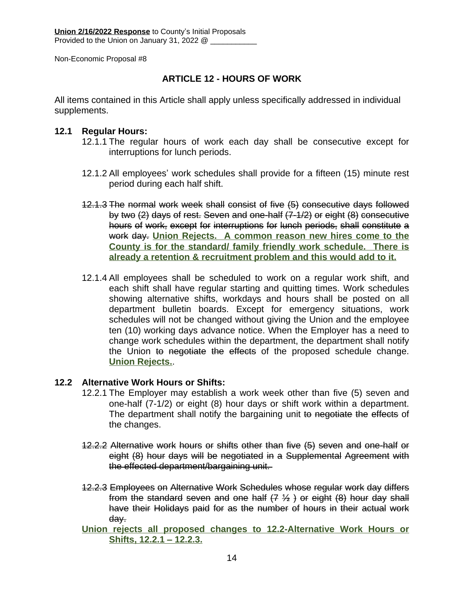#### **ARTICLE 12 - HOURS OF WORK**

All items contained in this Article shall apply unless specifically addressed in individual supplements.

#### **12.1 Regular Hours:**

- 12.1.1 The regular hours of work each day shall be consecutive except for interruptions for lunch periods.
- 12.1.2 All employees' work schedules shall provide for a fifteen (15) minute rest period during each half shift.
- 12.1.3 The normal work week shall consist of five (5) consecutive days followed by two (2) days of rest. Seven and one-half (7-1/2) or eight (8) consecutive hours of work, except for interruptions for lunch periods, shall constitute a work day. **Union Rejects. A common reason new hires come to the County is for the standard/ family friendly work schedule. There is already a retention & recruitment problem and this would add to it.**
- 12.1.4 All employees shall be scheduled to work on a regular work shift, and each shift shall have regular starting and quitting times. Work schedules showing alternative shifts, workdays and hours shall be posted on all department bulletin boards. Except for emergency situations, work schedules will not be changed without giving the Union and the employee ten (10) working days advance notice. When the Employer has a need to change work schedules within the department, the department shall notify the Union to negotiate the effects of the proposed schedule change. **Union Rejects.**.

#### **12.2 Alternative Work Hours or Shifts:**

- 12.2.1 The Employer may establish a work week other than five (5) seven and one-half (7-1/2) or eight (8) hour days or shift work within a department. The department shall notify the bargaining unit to negotiate the effects of the changes.
- 12.2.2 Alternative work hours or shifts other than five (5) seven and one-half or eight (8) hour days will be negotiated in a Supplemental Agreement with the effected department/bargaining unit.
- 12.2.3 Employees on Alternative Work Schedules whose regular work day differs from the standard seven and one half  $(7 \frac{1}{2})$  or eight  $(8)$  hour day shall have their Holidays paid for as the number of hours in their actual work day.
- **Union rejects all proposed changes to 12.2-Alternative Work Hours or Shifts, 12.2.1 – 12.2.3.**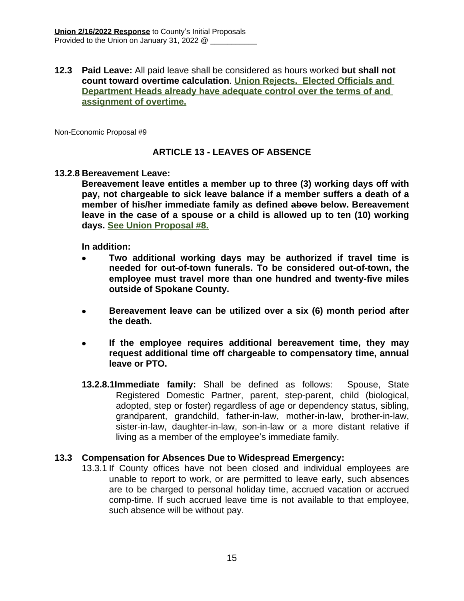#### **12.3 Paid Leave:** All paid leave shall be considered as hours worked **but shall not count toward overtime calculation**. **Union Rejects. Elected Officials and Department Heads already have adequate control over the terms of and assignment of overtime.**

Non-Economic Proposal #9

#### **ARTICLE 13 - LEAVES OF ABSENCE**

#### **13.2.8 Bereavement Leave:**

**Bereavement leave entitles a member up to three (3) working days off with pay, not chargeable to sick leave balance if a member suffers a death of a member of his/her immediate family as defined above below. Bereavement leave in the case of a spouse or a child is allowed up to ten (10) working days. See Union Proposal #8.**

**In addition:**

- **Two additional working days may be authorized if travel time is needed for out-of-town funerals. To be considered out-of-town, the employee must travel more than one hundred and twenty-five miles outside of Spokane County.**
- **Bereavement leave can be utilized over a six (6) month period after the death.**
- **If the employee requires additional bereavement time, they may request additional time off chargeable to compensatory time, annual leave or PTO.**
- **13.2.8.1Immediate family:** Shall be defined as follows: Spouse, State Registered Domestic Partner, parent, step-parent, child (biological, adopted, step or foster) regardless of age or dependency status, sibling, grandparent, grandchild, father-in-law, mother-in-law, brother-in-law, sister-in-law, daughter-in-law, son-in-law or a more distant relative if living as a member of the employee's immediate family.

#### **13.3 Compensation for Absences Due to Widespread Emergency:**

13.3.1 If County offices have not been closed and individual employees are unable to report to work, or are permitted to leave early, such absences are to be charged to personal holiday time, accrued vacation or accrued comp-time. If such accrued leave time is not available to that employee, such absence will be without pay.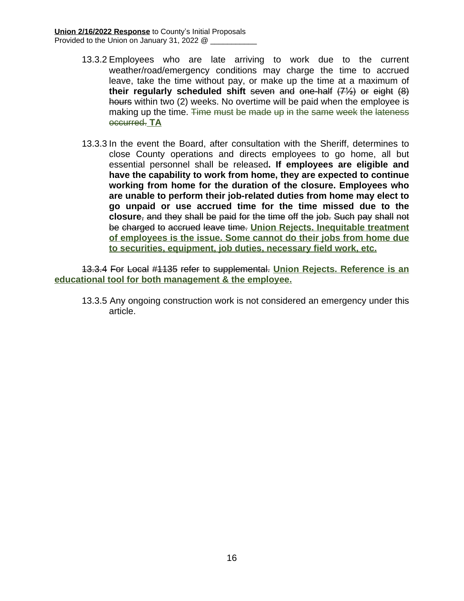- 13.3.2 Employees who are late arriving to work due to the current weather/road/emergency conditions may charge the time to accrued leave, take the time without pay, or make up the time at a maximum of **their regularly scheduled shift** seven and one-half (7½) or eight (8) hours within two (2) weeks. No overtime will be paid when the employee is making up the time. Time must be made up in the same week the lateness occurred. **TA**
- 13.3.3 In the event the Board, after consultation with the Sheriff, determines to close County operations and directs employees to go home, all but essential personnel shall be released**. If employees are eligible and have the capability to work from home, they are expected to continue working from home for the duration of the closure. Employees who are unable to perform their job-related duties from home may elect to go unpaid or use accrued time for the time missed due to the closure**, and they shall be paid for the time off the job. Such pay shall not be charged to accrued leave time. **Union Rejects. Inequitable treatment of employees is the issue. Some cannot do their jobs from home due to securities, equipment, job duties, necessary field work, etc.**

13.3.4 For Local #1135 refer to supplemental. **Union Rejects. Reference is an educational tool for both management & the employee.**

13.3.5 Any ongoing construction work is not considered an emergency under this article.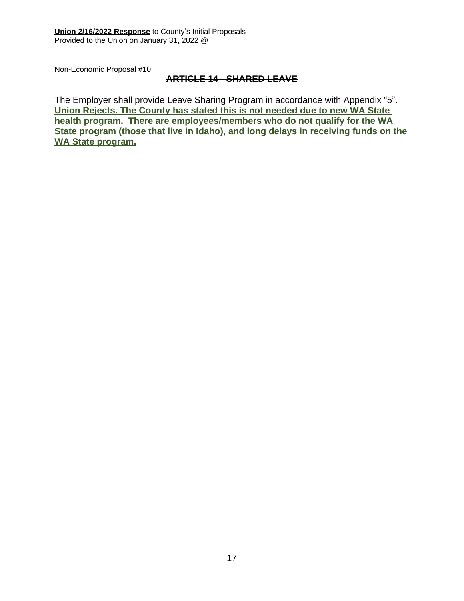#### **ARTICLE 14 - SHARED LEAVE**

The Employer shall provide Leave Sharing Program in accordance with Appendix "5". **Union Rejects. The County has stated this is not needed due to new WA State health program. There are employees/members who do not qualify for the WA State program (those that live in Idaho), and long delays in receiving funds on the WA State program.**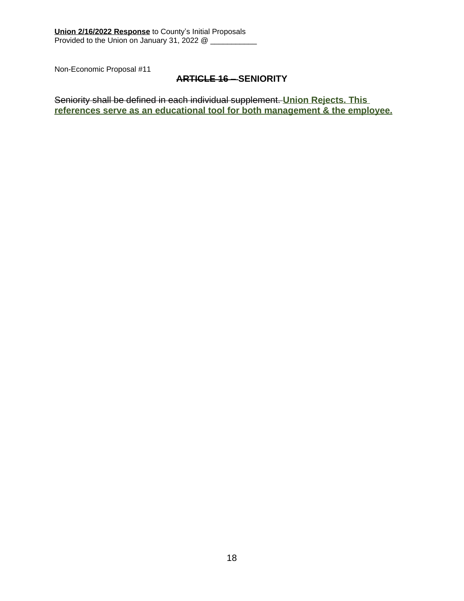#### **ARTICLE 16 – SENIORITY**

Seniority shall be defined in each individual supplement. **Union Rejects. This references serve as an educational tool for both management & the employee.**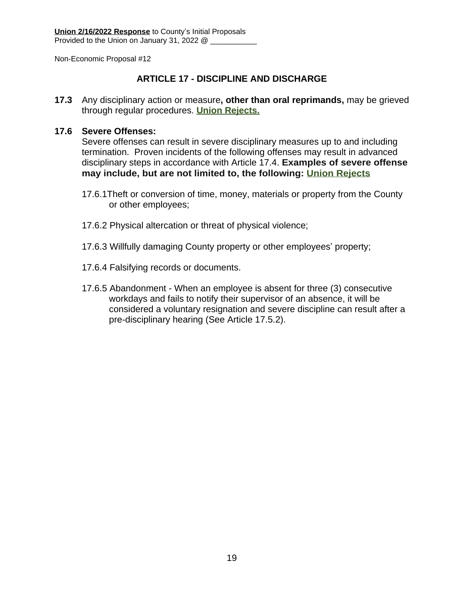#### **ARTICLE 17 - DISCIPLINE AND DISCHARGE**

**17.3** Any disciplinary action or measure**, other than oral reprimands,** may be grieved through regular procedures. **Union Rejects.**

#### **17.6 Severe Offenses:**

Severe offenses can result in severe disciplinary measures up to and including termination. Proven incidents of the following offenses may result in advanced disciplinary steps in accordance with Article 17.4. **Examples of severe offense may include, but are not limited to, the following: Union Rejects**

- 17.6.1Theft or conversion of time, money, materials or property from the County or other employees;
- 17.6.2 Physical altercation or threat of physical violence;
- 17.6.3 Willfully damaging County property or other employees' property;
- 17.6.4 Falsifying records or documents.
- 17.6.5 Abandonment When an employee is absent for three (3) consecutive workdays and fails to notify their supervisor of an absence, it will be considered a voluntary resignation and severe discipline can result after a pre-disciplinary hearing (See Article 17.5.2).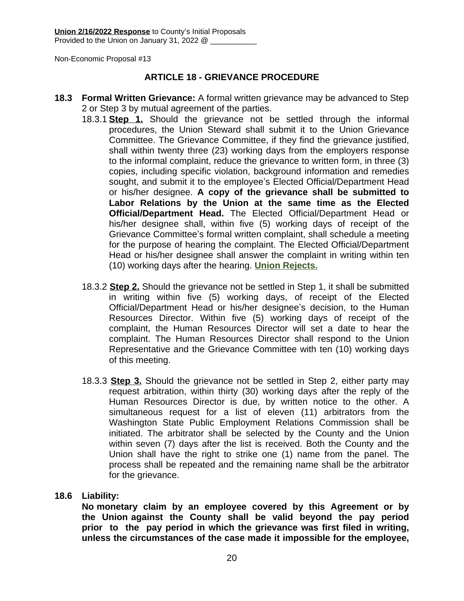#### **ARTICLE 18 - GRIEVANCE PROCEDURE**

- **18.3 Formal Written Grievance:** A formal written grievance may be advanced to Step 2 or Step 3 by mutual agreement of the parties.
	- 18.3.1 **Step 1.** Should the grievance not be settled through the informal procedures, the Union Steward shall submit it to the Union Grievance Committee. The Grievance Committee, if they find the grievance justified, shall within twenty three (23) working days from the employers response to the informal complaint, reduce the grievance to written form, in three (3) copies, including specific violation, background information and remedies sought, and submit it to the employee's Elected Official/Department Head or his/her designee. **A copy of the grievance shall be submitted to Labor Relations by the Union at the same time as the Elected Official/Department Head.** The Elected Official/Department Head or his/her designee shall, within five (5) working days of receipt of the Grievance Committee's formal written complaint, shall schedule a meeting for the purpose of hearing the complaint. The Elected Official/Department Head or his/her designee shall answer the complaint in writing within ten (10) working days after the hearing. **Union Rejects.**
	- 18.3.2 **Step 2.** Should the grievance not be settled in Step 1, it shall be submitted in writing within five (5) working days, of receipt of the Elected Official/Department Head or his/her designee's decision, to the Human Resources Director. Within five (5) working days of receipt of the complaint, the Human Resources Director will set a date to hear the complaint. The Human Resources Director shall respond to the Union Representative and the Grievance Committee with ten (10) working days of this meeting.
	- 18.3.3 **Step 3.** Should the grievance not be settled in Step 2, either party may request arbitration, within thirty (30) working days after the reply of the Human Resources Director is due, by written notice to the other. A simultaneous request for a list of eleven (11) arbitrators from the Washington State Public Employment Relations Commission shall be initiated. The arbitrator shall be selected by the County and the Union within seven (7) days after the list is received. Both the County and the Union shall have the right to strike one (1) name from the panel. The process shall be repeated and the remaining name shall be the arbitrator for the grievance.

#### **18.6 Liability:**

**No monetary claim by an employee covered by this Agreement or by the Union against the County shall be valid beyond the pay period prior to the pay period in which the grievance was first filed in writing, unless the circumstances of the case made it impossible for the employee,**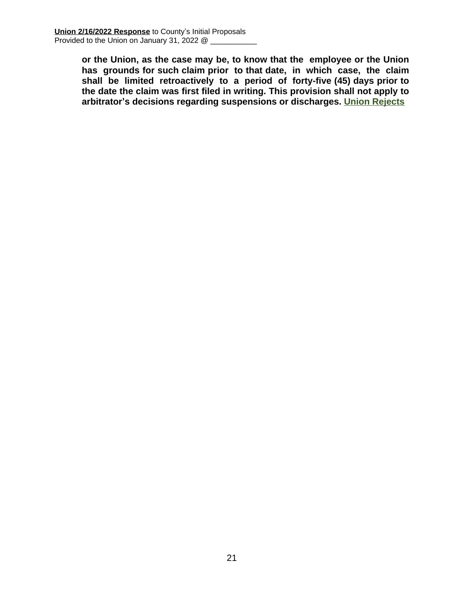**or the Union, as the case may be, to know that the employee or the Union has grounds for such claim prior to that date, in which case, the claim shall be limited retroactively to a period of forty-five (45) days prior to the date the claim was first filed in writing. This provision shall not apply to arbitrator's decisions regarding suspensions or discharges. Union Rejects**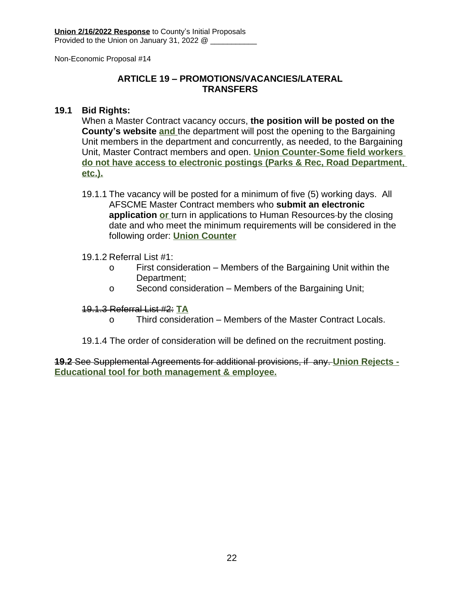#### **ARTICLE 19 – PROMOTIONS/VACANCIES/LATERAL TRANSFERS**

#### **19.1 Bid Rights:**

When a Master Contract vacancy occurs, **the position will be posted on the County's website and** the department will post the opening to the Bargaining Unit members in the department and concurrently, as needed, to the Bargaining Unit, Master Contract members and open. **Union Counter-Some field workers do not have access to electronic postings (Parks & Rec, Road Department, etc.).**

19.1.1 The vacancy will be posted for a minimum of five (5) working days. All AFSCME Master Contract members who **submit an electronic application or** turn in applications to Human Resources by the closing date and who meet the minimum requirements will be considered in the following order: **Union Counter**

#### 19.1.2 Referral List #1:

- o First consideration Members of the Bargaining Unit within the Department;
- o Second consideration Members of the Bargaining Unit;

#### 19.1.3 Referral List #2: **TA**

- o Third consideration Members of the Master Contract Locals.
- 19.1.4 The order of consideration will be defined on the recruitment posting.

**19.2** See Supplemental Agreements for additional provisions, if any. **Union Rejects - Educational tool for both management & employee.**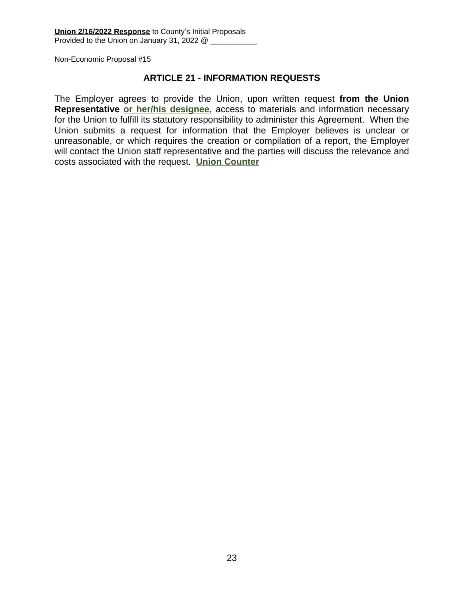#### **ARTICLE 21 - INFORMATION REQUESTS**

The Employer agrees to provide the Union, upon written request **from the Union Representative or her/his designee**, access to materials and information necessary for the Union to fulfill its statutory responsibility to administer this Agreement. When the Union submits a request for information that the Employer believes is unclear or unreasonable, or which requires the creation or compilation of a report, the Employer will contact the Union staff representative and the parties will discuss the relevance and costs associated with the request. **Union Counter**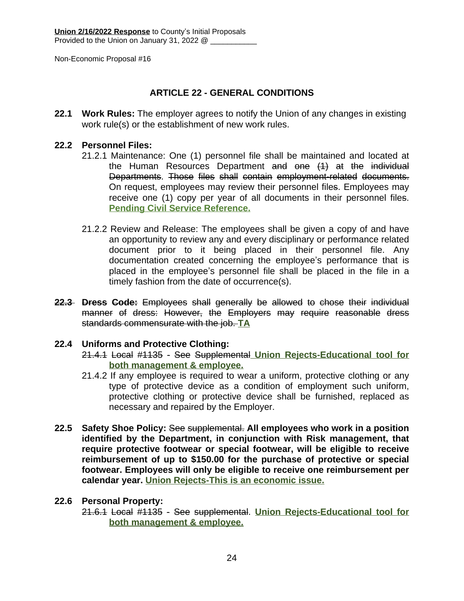#### **ARTICLE 22 - GENERAL CONDITIONS**

**22.1 Work Rules:** The employer agrees to notify the Union of any changes in existing work rule(s) or the establishment of new work rules.

#### **22.2 Personnel Files:**

- 21.2.1 Maintenance: One (1) personnel file shall be maintained and located at the Human Resources Department and one (1) at the individual Departments. Those files shall contain employment-related documents. On request, employees may review their personnel files. Employees may receive one (1) copy per year of all documents in their personnel files. **Pending Civil Service Reference.**
- 21.2.2 Review and Release: The employees shall be given a copy of and have an opportunity to review any and every disciplinary or performance related document prior to it being placed in their personnel file. Any documentation created concerning the employee's performance that is placed in the employee's personnel file shall be placed in the file in a timely fashion from the date of occurrence(s).
- **22.3 Dress Code:** Employees shall generally be allowed to chose their individual manner of dress: However, the Employers may require reasonable dress standards commensurate with the job. **TA**

#### **22.4 Uniforms and Protective Clothing:**

- 21.4.1 Local #1135 See Supplemental **Union Rejects-Educational tool for both management & employee.**
- 21.4.2 If any employee is required to wear a uniform, protective clothing or any type of protective device as a condition of employment such uniform, protective clothing or protective device shall be furnished, replaced as necessary and repaired by the Employer.
- **22.5 Safety Shoe Policy:** See supplemental. **All employees who work in a position identified by the Department, in conjunction with Risk management, that require protective footwear or special footwear, will be eligible to receive reimbursement of up to \$150.00 for the purchase of protective or special footwear. Employees will only be eligible to receive one reimbursement per calendar year. Union Rejects-This is an economic issue.**

#### **22.6 Personal Property:**

21.6.1 Local #1135 - See supplemental. **Union Rejects-Educational tool for both management & employee.**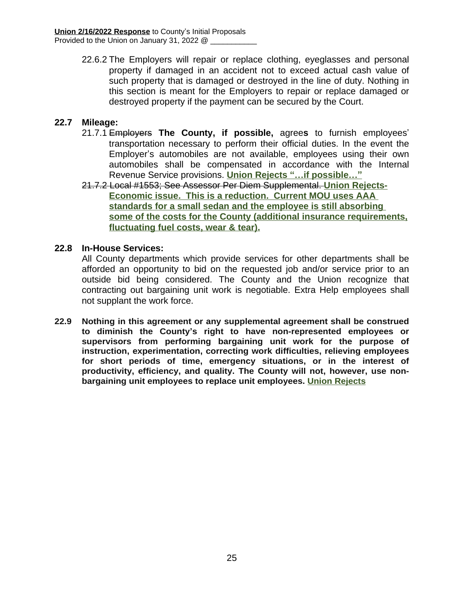22.6.2 The Employers will repair or replace clothing, eyeglasses and personal property if damaged in an accident not to exceed actual cash value of such property that is damaged or destroyed in the line of duty. Nothing in this section is meant for the Employers to repair or replace damaged or destroyed property if the payment can be secured by the Court.

#### **22.7 Mileage:**

- 21.7.1 Employers **The County, if possible,** agree**s** to furnish employees' transportation necessary to perform their official duties. In the event the Employer's automobiles are not available, employees using their own automobiles shall be compensated in accordance with the Internal Revenue Service provisions. **Union Rejects "…if possible…"**
- 21.7.2 Local #1553; See Assessor Per Diem Supplemental. **Union Rejects-Economic issue. This is a reduction. Current MOU uses AAA standards for a small sedan and the employee is still absorbing some of the costs for the County (additional insurance requirements, fluctuating fuel costs, wear & tear).**

#### **22.8 In-House Services:**

All County departments which provide services for other departments shall be afforded an opportunity to bid on the requested job and/or service prior to an outside bid being considered. The County and the Union recognize that contracting out bargaining unit work is negotiable. Extra Help employees shall not supplant the work force.

**22.9 Nothing in this agreement or any supplemental agreement shall be construed to diminish the County's right to have non-represented employees or supervisors from performing bargaining unit work for the purpose of instruction, experimentation, correcting work difficulties, relieving employees for short periods of time, emergency situations, or in the interest of productivity, efficiency, and quality. The County will not, however, use nonbargaining unit employees to replace unit employees. Union Rejects**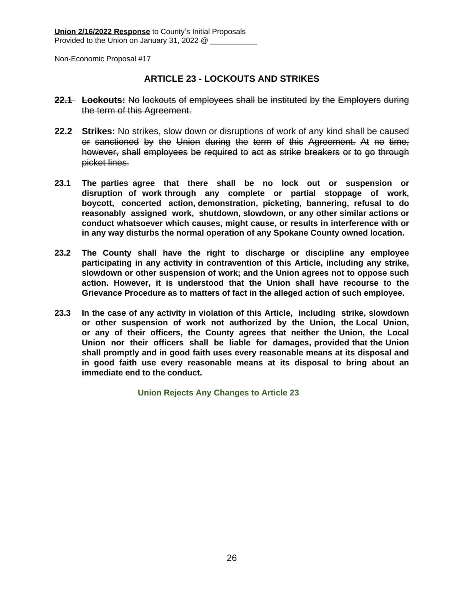#### **ARTICLE 23 - LOCKOUTS AND STRIKES**

- **22.1 Lockouts:** No lockouts of employees shall be instituted by the Employers during the term of this Agreement.
- **22.2 Strikes:** No strikes, slow down or disruptions of work of any kind shall be caused or sanctioned by the Union during the term of this Agreement. At no time, however, shall employees be required to act as strike breakers or to go through picket lines.
- **23.1 The parties agree that there shall be no lock out or suspension or disruption of work through any complete or partial stoppage of work, boycott, concerted action, demonstration, picketing, bannering, refusal to do reasonably assigned work, shutdown, slowdown, or any other similar actions or conduct whatsoever which causes, might cause, or results in interference with or in any way disturbs the normal operation of any Spokane County owned location.**
- **23.2 The County shall have the right to discharge or discipline any employee participating in any activity in contravention of this Article, including any strike, slowdown or other suspension of work; and the Union agrees not to oppose such action. However, it is understood that the Union shall have recourse to the Grievance Procedure as to matters of fact in the alleged action of such employee.**
- **23.3 In the case of any activity in violation of this Article, including strike, slowdown or other suspension of work not authorized by the Union, the Local Union, or any of their officers, the County agrees that neither the Union, the Local Union nor their officers shall be liable for damages, provided that the Union shall promptly and in good faith uses every reasonable means at its disposal and in good faith use every reasonable means at its disposal to bring about an immediate end to the conduct.**

 **Union Rejects Any Changes to Article 23**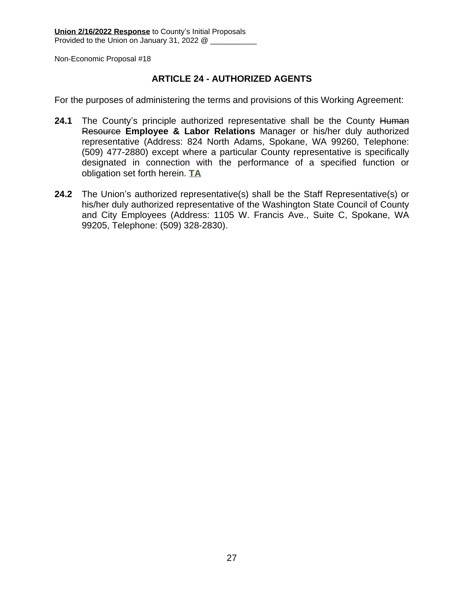#### **ARTICLE 24 - AUTHORIZED AGENTS**

For the purposes of administering the terms and provisions of this Working Agreement:

- 24.1 The County's principle authorized representative shall be the County Human Resource **Employee & Labor Relations** Manager or his/her duly authorized representative (Address: 824 North Adams, Spokane, WA 99260, Telephone: (509) 477-2880) except where a particular County representative is specifically designated in connection with the performance of a specified function or obligation set forth herein. **TA**
- **24.2** The Union's authorized representative(s) shall be the Staff Representative(s) or his/her duly authorized representative of the Washington State Council of County and City Employees (Address: 1105 W. Francis Ave., Suite C, Spokane, WA 99205, Telephone: (509) 328-2830).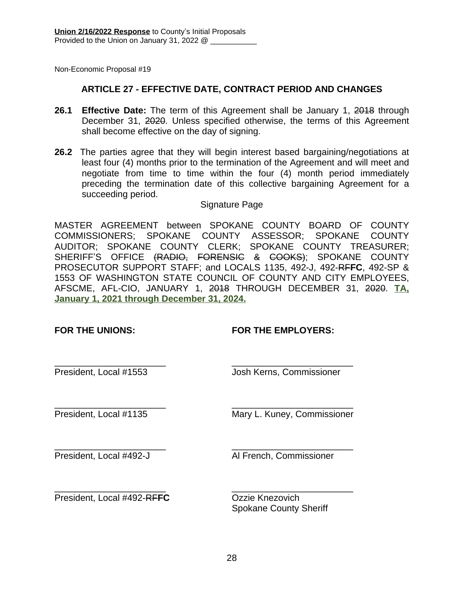#### **ARTICLE 27 - EFFECTIVE DATE, CONTRACT PERIOD AND CHANGES**

- **26.1 Effective Date:** The term of this Agreement shall be January 1, 2018 through December 31, 2020. Unless specified otherwise, the terms of this Agreement shall become effective on the day of signing.
- **26.2** The parties agree that they will begin interest based bargaining/negotiations at least four (4) months prior to the termination of the Agreement and will meet and negotiate from time to time within the four (4) month period immediately preceding the termination date of this collective bargaining Agreement for a succeeding period.

#### Signature Page

MASTER AGREEMENT between SPOKANE COUNTY BOARD OF COUNTY COMMISSIONERS; SPOKANE COUNTY ASSESSOR; SPOKANE COUNTY AUDITOR; SPOKANE COUNTY CLERK; SPOKANE COUNTY TREASURER; SHERIFF'S OFFICE (RADIO, FORENSIC & COOKS); SPOKANE COUNTY PROSECUTOR SUPPORT STAFF; and LOCALS 1135, 492-J, 492-RF**FC**, 492-SP & 1553 OF WASHINGTON STATE COUNCIL OF COUNTY AND CITY EMPLOYEES, AFSCME, AFL-CIO, JANUARY 1, 2018 THROUGH DECEMBER 31, 2020. **TA, January 1, 2021 through December 31, 2024.**

#### **FOR THE UNIONS: FOR THE EMPLOYERS:**

\_\_\_\_\_\_\_\_\_\_\_\_\_\_\_\_\_\_\_\_\_\_ \_\_\_\_\_\_\_\_\_\_\_\_\_\_\_\_\_\_\_\_\_\_\_\_

President, Local #1553 Josh Kerns, Commissioner

\_\_\_\_\_\_\_\_\_\_\_\_\_\_\_\_\_\_\_\_\_\_ \_\_\_\_\_\_\_\_\_\_\_\_\_\_\_\_\_\_\_\_\_\_\_\_

President, Local #1135 Mary L. Kuney, Commissioner

\_\_\_\_\_\_\_\_\_\_\_\_\_\_\_\_\_\_\_\_\_\_ \_\_\_\_\_\_\_\_\_\_\_\_\_\_\_\_\_\_\_\_\_\_\_\_

President, Local #492-J Al French, Commissioner

\_\_\_\_\_\_\_\_\_\_\_\_\_\_\_\_\_\_\_\_\_\_ \_\_\_\_\_\_\_\_\_\_\_\_\_\_\_\_\_\_\_\_\_\_\_\_ President, Local #492-RFFC Ozzie Knezovich

Spokane County Sheriff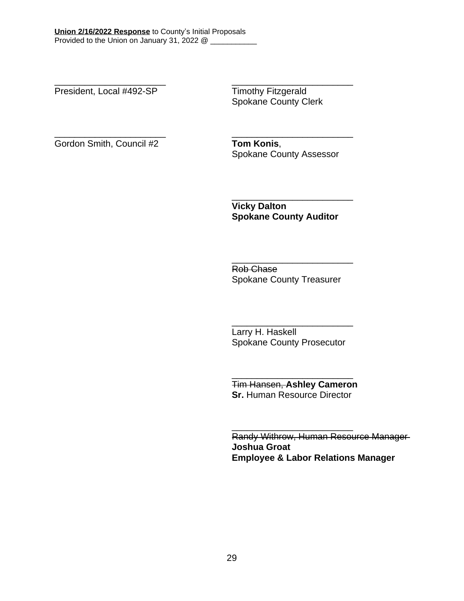President, Local #492-SP Timothy Fitzgerald

\_\_\_\_\_\_\_\_\_\_\_\_\_\_\_\_\_\_\_\_\_\_ \_\_\_\_\_\_\_\_\_\_\_\_\_\_\_\_\_\_\_\_\_\_\_\_ Spokane County Clerk

Gordon Smith, Council #2 **Tom Konis**,

\_\_\_\_\_\_\_\_\_\_\_\_\_\_\_\_\_\_\_\_\_\_ \_\_\_\_\_\_\_\_\_\_\_\_\_\_\_\_\_\_\_\_\_\_\_\_ Spokane County Assessor

> **Vicky Dalton Spokane County Auditor**

\_\_\_\_\_\_\_\_\_\_\_\_\_\_\_\_\_\_\_\_\_\_\_\_

\_\_\_\_\_\_\_\_\_\_\_\_\_\_\_\_\_\_\_\_\_\_\_\_ Rob Chase Spokane County Treasurer

\_\_\_\_\_\_\_\_\_\_\_\_\_\_\_\_\_\_\_\_\_\_\_\_ Larry H. Haskell Spokane County Prosecutor

Tim Hansen, **Ashley Cameron Sr. Human Resource Director** 

\_\_\_\_\_\_\_\_\_\_\_\_\_\_\_\_\_\_\_\_\_\_\_\_

\_\_\_\_\_\_\_\_\_\_\_\_\_\_\_\_\_\_\_\_\_\_\_\_

Randy Withrow, Human Resource Manager **Joshua Groat Employee & Labor Relations Manager**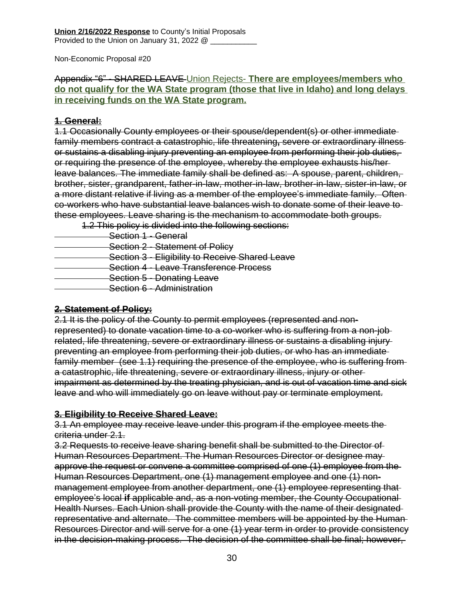#### Appendix "6" - SHARED LEAVE Union Rejects- **There are employees/members who do not qualify for the WA State program (those that live in Idaho) and long delays in receiving funds on the WA State program.**

#### **1. General:**

1.1 Occasionally County employees or their spouse/dependent(s) or other immediate family members contract a catastrophic, life threatening**,** severe or extraordinary illness or sustains a disabling injury preventing an employee from performing their job duties, or requiring the presence of the employee, whereby the employee exhausts his/her leave balances. The immediate family shall be defined as: A spouse, parent, children, brother, sister, grandparent, father-in-law, mother-in-law, brother-in-law, sister-in-law, or a more distant relative if living as a member of the employee's immediate family. Often co-workers who have substantial leave balances wish to donate some of their leave to these employees. Leave sharing is the mechanism to accommodate both groups.

1.2 This policy is divided into the following sections:

- Section 1 General
- Section 2 Statement of Policy
- Section 3 Eligibility to Receive Shared Leave
- Section 4 Leave Transference Process
- **Section 5 Donating Leave**
- Section 6 Administration

#### **2. Statement of Policy:**

2.1 It is the policy of the County to permit employees (represented and nonrepresented) to donate vacation time to a co-worker who is suffering from a non-job related, life threatening, severe or extraordinary illness or sustains a disabling injury preventing an employee from performing their job duties, or who has an immediate family member (see 1.1) requiring the presence of the employee, who is suffering from a catastrophic, life threatening, severe or extraordinary illness, injury or other impairment as determined by the treating physician, and is out of vacation time and sick leave and who will immediately go on leave without pay or terminate employment.

#### **3. Eligibility to Receive Shared Leave:**

3.1 An employee may receive leave under this program if the employee meets the criteria under 2.1.

3.2 Requests to receive leave sharing benefit shall be submitted to the Director of Human Resources Department. The Human Resources Director or designee may approve the request or convene a committee comprised of one (1) employee from the Human Resources Department, one (1) management employee and one (1) nonmanagement employee from another department, one (1) employee representing that employee's local **if** applicable and, as a non-voting member, the County Occupational Health Nurses. Each Union shall provide the County with the name of their designated representative and alternate. The committee members will be appointed by the Human Resources Director and will serve for a one (1) year term in order to provide consistency in the decision-making process. The decision of the committee shall be final; however,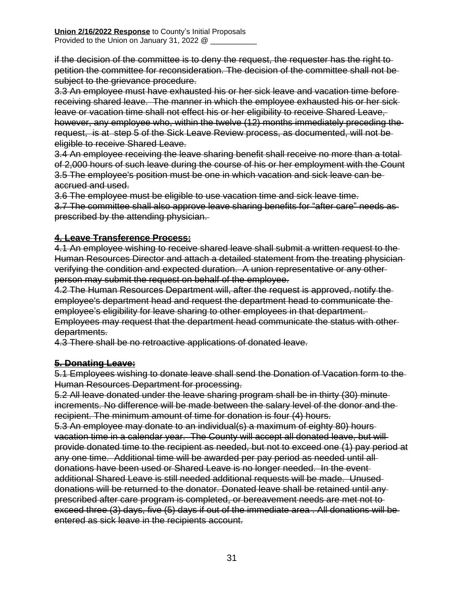if the decision of the committee is to deny the request, the requester has the right to petition the committee for reconsideration. The decision of the committee shall not be subject to the grievance procedure.

3.3 An employee must have exhausted his or her sick leave and vacation time before receiving shared leave. The manner in which the employee exhausted his or her sick leave or vacation time shall not effect his or her eligibility to receive Shared Leave, however, any employee who, within the twelve (12) months immediately preceding the request, is at step 5 of the Sick Leave Review process, as documented, will not be eligible to receive Shared Leave.

3.4 An employee receiving the leave sharing benefit shall receive no more than a total of 2,000 hours of such leave during the course of his or her employment with the Count 3.5 The employee's position must be one in which vacation and sick leave can be accrued and used.

3.6 The employee must be eligible to use vacation time and sick leave time.

3.7 The committee shall also approve leave sharing benefits for "after care" needs as prescribed by the attending physician.

#### **4. Leave Transference Process:**

4.1 An employee wishing to receive shared leave shall submit a written request to the Human Resources Director and attach a detailed statement from the treating physician verifying the condition and expected duration. A union representative or any other person may submit the request on behalf of the employee.

4.2 The Human Resources Department will, after the request is approved, notify the employee's department head and request the department head to communicate the employee's eligibility for leave sharing to other employees in that department. Employees may request that the department head communicate the status with other departments.

4.3 There shall be no retroactive applications of donated leave.

#### **5. Donating Leave:**

5.1 Employees wishing to donate leave shall send the Donation of Vacation form to the Human Resources Department for processing.

5.2 All leave donated under the leave sharing program shall be in thirty (30) minute increments. No difference will be made between the salary level of the donor and the recipient. The minimum amount of time for donation is four (4) hours.

5.3 An employee may donate to an individual(s) a maximum of eighty 80) hours vacation time in a calendar year. The County will accept all donated leave, but will provide donated time to the recipient as needed, but not to exceed one (1) pay period at any one time. Additional time will be awarded per pay period as needed until all donations have been used or Shared Leave is no longer needed. In the event additional Shared Leave is still needed additional requests will be made. Unused donations will be returned to the donator. Donated leave shall be retained until any prescribed after care program is completed, or bereavement needs are met not to exceed three (3) days, five (5) days if out of the immediate area . All donations will be entered as sick leave in the recipients account.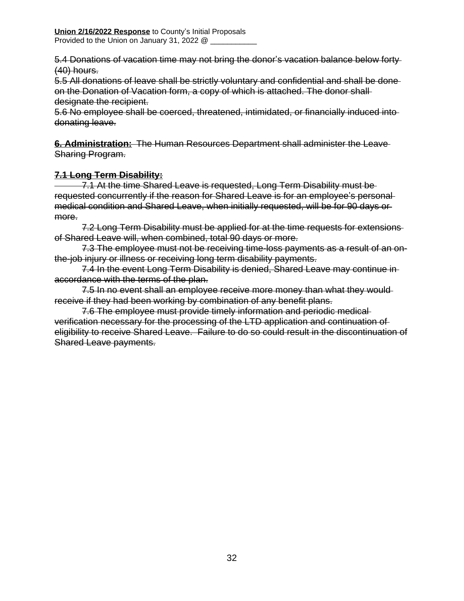5.4 Donations of vacation time may not bring the donor's vacation balance below forty (40) hours.

5.5 All donations of leave shall be strictly voluntary and confidential and shall be done on the Donation of Vacation form, a copy of which is attached. The donor shall designate the recipient.

5.6 No employee shall be coerced, threatened, intimidated, or financially induced into donating leave.

**6. Administration:** The Human Resources Department shall administer the Leave Sharing Program.

### **7.1 Long Term Disability:**

 7.1 At the time Shared Leave is requested, Long Term Disability must be requested concurrently if the reason for Shared Leave is for an employee's personal medical condition and Shared Leave, when initially requested, will be for 90 days or more.

7.2 Long Term Disability must be applied for at the time requests for extensions of Shared Leave will, when combined, total 90 days or more.

7.3 The employee must not be receiving time-loss payments as a result of an onthe-job injury or illness or receiving long term disability payments.

7.4 In the event Long Term Disability is denied, Shared Leave may continue in accordance with the terms of the plan.

7.5 In no event shall an employee receive more money than what they wouldreceive if they had been working by combination of any benefit plans.

7.6 The employee must provide timely information and periodic medical verification necessary for the processing of the LTD application and continuation of eligibility to receive Shared Leave. Failure to do so could result in the discontinuation of Shared Leave payments.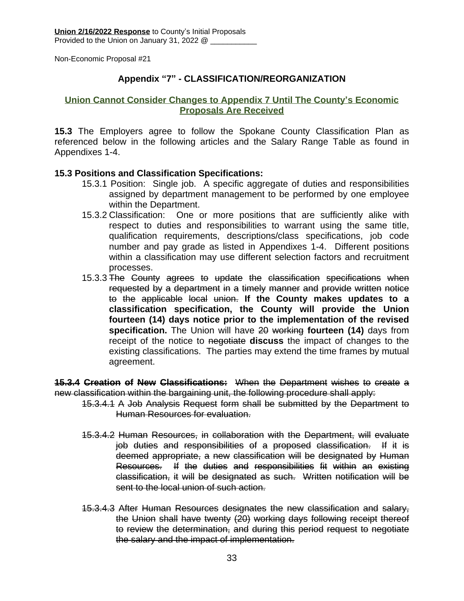#### **Appendix "7" - CLASSIFICATION/REORGANIZATION**

#### **Union Cannot Consider Changes to Appendix 7 Until The County's Economic Proposals Are Received**

**15.3** The Employers agree to follow the Spokane County Classification Plan as referenced below in the following articles and the Salary Range Table as found in Appendixes 1-4.

#### **15.3 Positions and Classification Specifications:**

- 15.3.1 Position: Single job. A specific aggregate of duties and responsibilities assigned by department management to be performed by one employee within the Department.
- 15.3.2 Classification: One or more positions that are sufficiently alike with respect to duties and responsibilities to warrant using the same title, qualification requirements, descriptions/class specifications, job code number and pay grade as listed in Appendixes 1-4. Different positions within a classification may use different selection factors and recruitment processes.
- 15.3.3 The County agrees to update the classification specifications when requested by a department in a timely manner and provide written notice to the applicable local union. **If the County makes updates to a classification specification, the County will provide the Union fourteen (14) days notice prior to the implementation of the revised specification.** The Union will have 20 working **fourteen (14)** days from receipt of the notice to negotiate **discuss** the impact of changes to the existing classifications. The parties may extend the time frames by mutual agreement.

**15.3.4 Creation of New Classifications:** When the Department wishes to create a new classification within the bargaining unit, the following procedure shall apply:

- 15.3.4.1 A Job Analysis Request form shall be submitted by the Department to Human Resources for evaluation.
	- 15.3.4.2 Human Resources, in collaboration with the Department, will evaluate job duties and responsibilities of a proposed classification. If it is deemed appropriate, a new classification will be designated by Human Resources. If the duties and responsibilities fit within an existing classification, it will be designated as such. Written notification will be sent to the local union of such action.
	- 15.3.4.3 After Human Resources designates the new classification and salary, the Union shall have twenty (20) working days following receipt thereof to review the determination, and during this period request to negotiate the salary and the impact of implementation.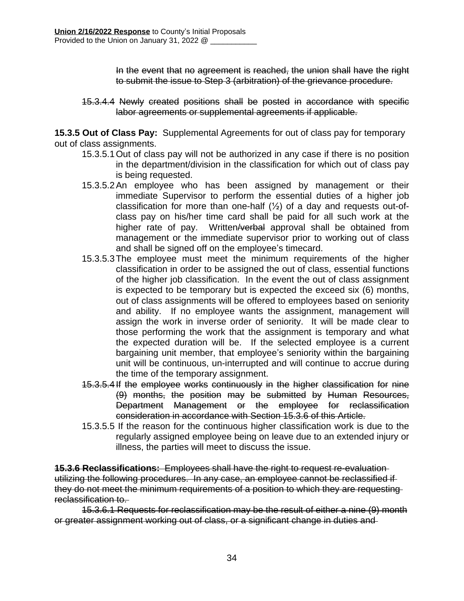In the event that no agreement is reached, the union shall have the right to submit the issue to Step 3 (arbitration) of the grievance procedure.

15.3.4.4 Newly created positions shall be posted in accordance with specific labor agreements or supplemental agreements if applicable.

**15.3.5 Out of Class Pay:** Supplemental Agreements for out of class pay for temporary out of class assignments.

- 15.3.5.1Out of class pay will not be authorized in any case if there is no position in the department/division in the classification for which out of class pay is being requested.
- 15.3.5.2An employee who has been assigned by management or their immediate Supervisor to perform the essential duties of a higher job classification for more than one-half  $(\frac{1}{2})$  of a day and requests out-ofclass pay on his/her time card shall be paid for all such work at the higher rate of pay. Written/verbal approval shall be obtained from management or the immediate supervisor prior to working out of class and shall be signed off on the employee's timecard.
- 15.3.5.3The employee must meet the minimum requirements of the higher classification in order to be assigned the out of class, essential functions of the higher job classification. In the event the out of class assignment is expected to be temporary but is expected the exceed six (6) months, out of class assignments will be offered to employees based on seniority and ability. If no employee wants the assignment, management will assign the work in inverse order of seniority. It will be made clear to those performing the work that the assignment is temporary and what the expected duration will be. If the selected employee is a current bargaining unit member, that employee's seniority within the bargaining unit will be continuous, un-interrupted and will continue to accrue during the time of the temporary assignment.
- 15.3.5.4If the employee works continuously in the higher classification for nine (9) months, the position may be submitted by Human Resources, Department Management or the employee for reclassification consideration in accordance with Section 15.3.6 of this Article.
- 15.3.5.5 If the reason for the continuous higher classification work is due to the regularly assigned employee being on leave due to an extended injury or illness, the parties will meet to discuss the issue.

**15.3.6 Reclassifications:** Employees shall have the right to request re-evaluation utilizing the following procedures. In any case, an employee cannot be reclassified if they do not meet the minimum requirements of a position to which they are requesting reclassification to.

15.3.6.1 Requests for reclassification may be the result of either a nine (9) month or greater assignment working out of class, or a significant change in duties and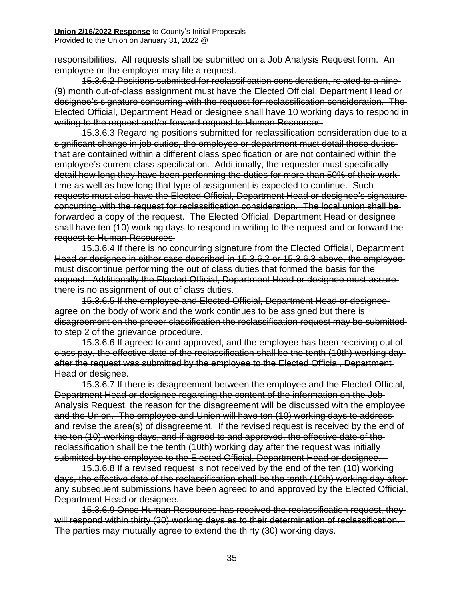responsibilities. All requests shall be submitted on a Job Analysis Request form. An employee or the employer may file a request.

15.3.6.2 Positions submitted for reclassification consideration, related to a nine (9) month out-of-class assignment must have the Elected Official, Department Head or designee's signature concurring with the request for reclassification consideration. The Elected Official, Department Head or designee shall have 10 working days to respond in writing to the request and/or forward request to Human Resources.

15.3.6.3 Regarding positions submitted for reclassification consideration due to a significant change in job duties, the employee or department must detail those duties that are contained within a different class specification or are not contained within the employee's current class specification. Additionally, the requester must specifically detail how long they have been performing the duties for more than 50% of their work time as well as how long that type of assignment is expected to continue. Such requests must also have the Elected Official, Department Head or designee's signature concurring with the request for reclassification consideration. The local union shall be forwarded a copy of the request. The Elected Official, Department Head or designee shall have ten (10) working days to respond in writing to the request and or forward the request to Human Resources.

15.3.6.4 If there is no concurring signature from the Elected Official, Department Head or designee in either case described in 15.3.6.2 or 15.3.6.3 above, the employee must discontinue performing the out of class duties that formed the basis for the request. Additionally the Elected Official, Department Head or designee must assure there is no assignment of out of class duties.

15.3.6.5 If the employee and Elected Official, Department Head or designee agree on the body of work and the work continues to be assigned but there is disagreement on the proper classification the reclassification request may be submitted to step 2 of the grievance procedure.

 15.3.6.6 If agreed to and approved, and the employee has been receiving out of class pay, the effective date of the reclassification shall be the tenth (10th) working day after the request was submitted by the employee to the Elected Official, Department Head or designee.

15.3.6.7 If there is disagreement between the employee and the Elected Official, Department Head or designee regarding the content of the information on the Job Analysis Request, the reason for the disagreement will be discussed with the employee and the Union. The employee and Union will have ten (10) working days to address and revise the area(s) of disagreement. If the revised request is received by the end of the ten (10) working days, and if agreed to and approved, the effective date of the reclassification shall be the tenth (10th) working day after the request was initially submitted by the employee to the Elected Official, Department Head or designee.

15.3.6.8 If a revised request is not received by the end of the ten (10) working days, the effective date of the reclassification shall be the tenth (10th) working day after any subsequent submissions have been agreed to and approved by the Elected Official, Department Head or designee.

15.3.6.9 Once Human Resources has received the reclassification request, they will respond within thirty (30) working days as to their determination of reclassification. The parties may mutually agree to extend the thirty (30) working days.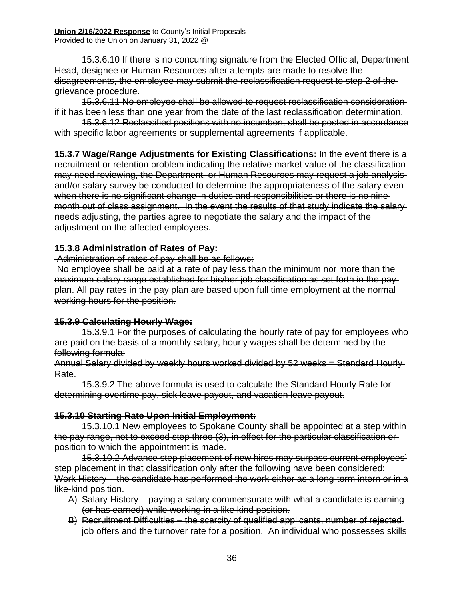15.3.6.10 If there is no concurring signature from the Elected Official, Department Head, designee or Human Resources after attempts are made to resolve the disagreements, the employee may submit the reclassification request to step 2 of the grievance procedure.

15.3.6.11 No employee shall be allowed to request reclassification consideration if it has been less than one year from the date of the last reclassification determination.

15.3.6.12 Reclassified positions with no incumbent shall be posted in accordance with specific labor agreements or supplemental agreements if applicable.

**15.3.7 Wage/Range Adjustments for Existing Classifications:** In the event there is a recruitment or retention problem indicating the relative market value of the classification may need reviewing, the Department*,* or Human Resources may request a job analysis and/or salary survey be conducted to determine the appropriateness of the salary even when there is no significant change in duties and responsibilities or there is no ninemonth out of class assignment. In the event the results of that study indicate the salary needs adjusting, the parties agree to negotiate the salary and the impact of the adjustment on the affected employees.

#### **15.3.8 Administration of Rates of Pay:**

Administration of rates of pay shall be as follows:

No employee shall be paid at a rate of pay less than the minimum nor more than the maximum salary range established for his/her job classification as set forth in the pay plan. All pay rates in the pay plan are based upon full time employment at the normal working hours for the position.

#### **15.3.9 Calculating Hourly Wage:**

 15.3.9.1 For the purposes of calculating the hourly rate of pay for employees who are paid on the basis of a monthly salary, hourly wages shall be determined by the following formula:

Annual Salary divided by weekly hours worked divided by 52 weeks = Standard Hourly Rate.

15.3.9.2 The above formula is used to calculate the Standard Hourly Rate for determining overtime pay, sick leave payout, and vacation leave payout.

#### **15.3.10 Starting Rate Upon Initial Employment:**

15.3.10.1 New employees to Spokane County shall be appointed at a step within the pay range, not to exceed step three (3), in effect for the particular classification or position to which the appointment is made.

15.3.10.2 Advance step placement of new hires may surpass current employees' step placement in that classification only after the following have been considered: Work History – the candidate has performed the work either as a long-term intern or in a like-kind position.

- A) Salary History paying a salary commensurate with what a candidate is earning (or has earned) while working in a like kind position.
- B) Recruitment Difficulties the scarcity of qualified applicants, number of rejected job offers and the turnover rate for a position. An individual who possesses skills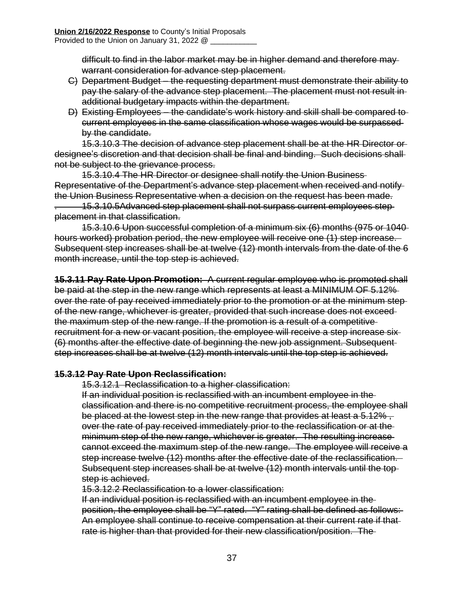difficult to find in the labor market may be in higher demand and therefore may warrant consideration for advance step placement.

- C) Department Budget the requesting department must demonstrate their ability to pay the salary of the advance step placement. The placement must not result in additional budgetary impacts within the department.
- D) Existing Employees the candidate's work history and skill shall be compared to current employees in the same classification whose wages would be surpassed by the candidate.

15.3.10.3 The decision of advance step placement shall be at the HR Director or designee's discretion and that decision shall be final and binding. Such decisions shall not be subject to the grievance process.

15.3.10.4 The HR Director or designee shall notify the Union Business Representative of the Department's advance step placement when received and notify the Union Business Representative when a decision on the request has been made.

. 15.3.10.5Advanced step placement shall not surpass current employees step placement in that classification.

15.3.10.6 Upon successful completion of a minimum six (6) months (975 or 1040 hours worked) probation period, the new employee will receive one (1) step increase. Subsequent step increases shall be at twelve (12) month intervals from the date of the 6 month increase, until the top step is achieved.

**15.3.11 Pay Rate Upon Promotion:** A current regular employee who is promoted shall be paid at the step in the new range which represents at least a MINIMUM OF 5.12% over the rate of pay received immediately prior to the promotion or at the minimum step of the new range, whichever is greater, provided that such increase does not exceed the maximum step of the new range. If the promotion is a result of a competitive recruitment for a new or vacant position, the employee will receive a step increase six (6) months after the effective date of beginning the new job assignment. Subsequent step increases shall be at twelve (12) month intervals until the top step is achieved.

#### **15.3.12 Pay Rate Upon Reclassification:**

15.3.12.1 Reclassification to a higher classification:

If an individual position is reclassified with an incumbent employee in the classification and there is no competitive recruitment process, the employee shall be placed at the lowest step in the new range that provides at least a 5.12%, over the rate of pay received immediately prior to the reclassification or at the minimum step of the new range, whichever is greater. The resulting increase cannot exceed the maximum step of the new range. The employee will receive a step increase twelve (12) months after the effective date of the reclassification. Subsequent step increases shall be at twelve (12) month intervals until the top step is achieved.

15.3.12.2 Reclassification to a lower classification:

If an individual position is reclassified with an incumbent employee in the position, the employee shall be "Y" rated. "Y" rating shall be defined as follows: An employee shall continue to receive compensation at their current rate if that rate is higher than that provided for their new classification/position. The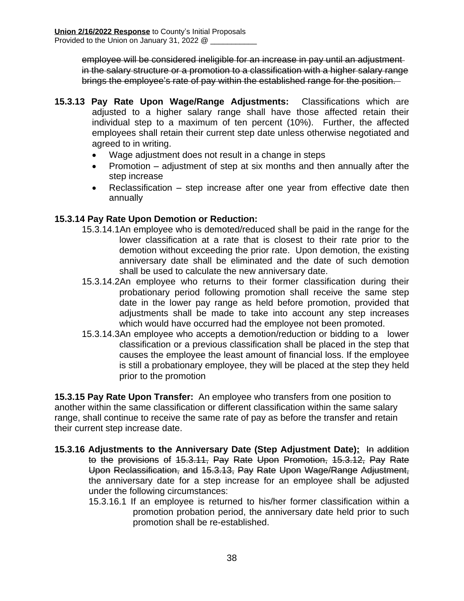employee will be considered ineligible for an increase in pay until an adjustment in the salary structure or a promotion to a classification with a higher salary range brings the employee's rate of pay within the established range for the position.

- **15.3.13 Pay Rate Upon Wage/Range Adjustments:** Classifications which are adjusted to a higher salary range shall have those affected retain their individual step to a maximum of ten percent (10%). Further, the affected employees shall retain their current step date unless otherwise negotiated and agreed to in writing.
	- Wage adjustment does not result in a change in steps
	- Promotion adjustment of step at six months and then annually after the step increase
	- Reclassification step increase after one year from effective date then annually

#### **15.3.14 Pay Rate Upon Demotion or Reduction:**

- 15.3.14.1An employee who is demoted/reduced shall be paid in the range for the lower classification at a rate that is closest to their rate prior to the demotion without exceeding the prior rate. Upon demotion, the existing anniversary date shall be eliminated and the date of such demotion shall be used to calculate the new anniversary date.
- 15.3.14.2An employee who returns to their former classification during their probationary period following promotion shall receive the same step date in the lower pay range as held before promotion, provided that adjustments shall be made to take into account any step increases which would have occurred had the employee not been promoted.
- 15.3.14.3An employee who accepts a demotion/reduction or bidding to a lower classification or a previous classification shall be placed in the step that causes the employee the least amount of financial loss. If the employee is still a probationary employee, they will be placed at the step they held prior to the promotion

**15.3.15 Pay Rate Upon Transfer:** An employee who transfers from one position to another within the same classification or different classification within the same salary range, shall continue to receive the same rate of pay as before the transfer and retain their current step increase date.

- **15.3.16 Adjustments to the Anniversary Date (Step Adjustment Date):** In addition to the provisions of 15.3.11, Pay Rate Upon Promotion, 15.3.12, Pay Rate Upon Reclassification, and 15.3.13, Pay Rate Upon Wage/Range Adjustment, the anniversary date for a step increase for an employee shall be adjusted under the following circumstances:
	- 15.3.16.1 If an employee is returned to his/her former classification within a promotion probation period, the anniversary date held prior to such promotion shall be re-established.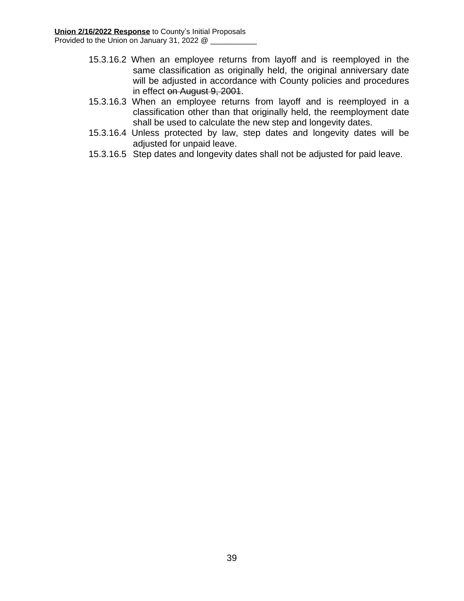- 15.3.16.2 When an employee returns from layoff and is reemployed in the same classification as originally held, the original anniversary date will be adjusted in accordance with County policies and procedures in effect on August 9, 2001.
- 15.3.16.3 When an employee returns from layoff and is reemployed in a classification other than that originally held, the reemployment date shall be used to calculate the new step and longevity dates.
- 15.3.16.4 Unless protected by law, step dates and longevity dates will be adjusted for unpaid leave.
- 15.3.16.5 Step dates and longevity dates shall not be adjusted for paid leave.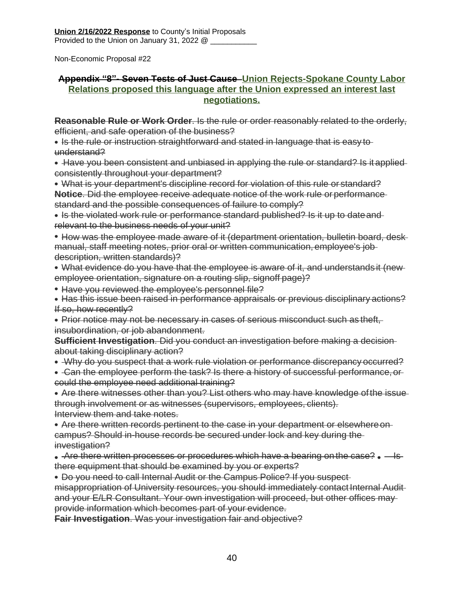#### **Appendix "8"- Seven Tests of Just Cause Union Rejects-Spokane County Labor Relations proposed this language after the Union expressed an interest last negotiations.**

**Reasonable Rule or Work Order**. Is the rule or order reasonably related to the orderly, efficient, and safe operation of the business?

- Is the rule or instruction straightforward and stated in language that is easy to understand?
- Have you been consistent and unbiased in applying the rule or standard? Is it applied consistently throughout your department?
- What is your department's discipline record for violation of this rule or standard? **Notice**. Did the employee receive adequate notice of the work rule or performance standard and the possible consequences of failure to comply?
- Is the violated work rule or performance standard published? Is it up to date and relevant to the business needs of your unit?
- How was the employee made aware of it (department orientation, bulletin board, deskmanual, staff meeting notes, prior oral or written communication, employee's job description, written standards)?
- What evidence do you have that the employee is aware of it, and understands it (new employee orientation, signature on a routing slip, signoff page)?
- Have you reviewed the employee's personnel file?
- Has this issue been raised in performance appraisals or previous disciplinary actions? If so, how recently?
- Prior notice may not be necessary in cases of serious misconduct such as theft, insubordination, or job abandonment.

**Sufficient Investigation**. Did you conduct an investigation before making a decision about taking disciplinary action?

- Why do you suspect that a work rule violation or performance discrepancy occurred?
- Can the employee perform the task? Is there a history of successful performance, or could the employee need additional training?

Are there witnesses other than you? List others who may have knowledge ofthe issue through involvement or as witnesses (supervisors, employees, clients). Interview them and take notes.

Are there written records pertinent to the case in your department or elsewhereon campus? Should in-house records be secured under lock and key during the investigation?

• Are there written processes or procedures which have a bearing on the case?  $\bullet$  - Isthere equipment that should be examined by you or experts?

Do you need to call Internal Audit or the Campus Police? If you suspect misappropriation of University resources, you should immediately contact Internal Audit and your E/LR Consultant. Your own investigation will proceed, but other offices may provide information which becomes part of your evidence.

**Fair Investigation**. Was your investigation fair and objective?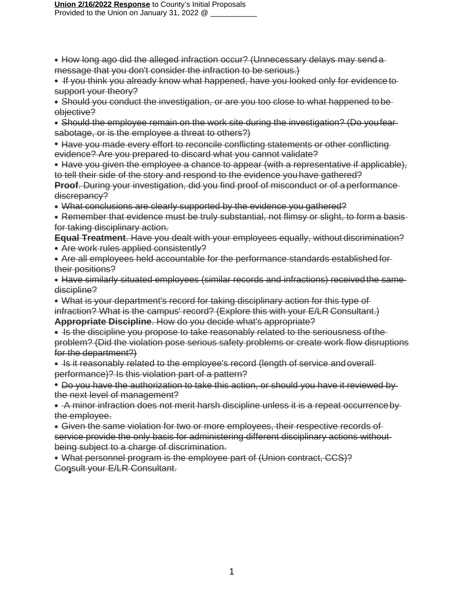- How long ago did the alleged infraction occur? (Unnecessary delays may send a message that you don't consider the infraction to be serious.)
- **If you think you already know what happened, have you looked only for evidence to** support your theory?
- Should you conduct the investigation, or are you too close to what happened to beobjective?
- Should the employee remain on the work site during the investigation? (Do youfear sabotage, or is the employee a threat to others?)
- Have you made every effort to reconcile conflicting statements or other conflicting evidence? Are you prepared to discard what you cannot validate?
- Have you given the employee a chance to appear (with a representative if applicable), to tell their side of the story and respond to the evidence youhave gathered?
- **Proof.** During your investigation, did you find proof of misconduct or of a performance discrepancy?
- What conclusions are clearly supported by the evidence you gathered?
- Remember that evidence must be truly substantial, not flimsy or slight, to form a basis for taking disciplinary action.
- **Equal Treatment**. Have you dealt with your employees equally, without discrimination? Are work rules applied consistently?
- Are all employees held accountable for the performance standards established for their positions?
- Have similarly situated employees (similar records and infractions) received the samediscipline?
- What is your department's record for taking disciplinary action for this type of infraction? What is the campus' record? (Explore this with your E/LR Consultant.)

**Appropriate Discipline**. How do you decide what's appropriate?

- Is the discipline you propose to take reasonably related to the seriousness of the problem? (Did the violation pose serious safety problems or create work flow disruptions for the department?)
- Is it reasonably related to the employee's record (length of service and overall performance)? Is this violation part of a pattern?
- Do you have the authorization to take this action, or should you have it reviewed by the next level of management?
- A minor infraction does not merit harsh discipline unless it is a repeat occurrence by the employee.
- Given the same violation for two or more employees, their respective records of service provide the only basis for administering different disciplinary actions without being subject to a charge of discrimination.
- What personnel program is the employee part of (Union contract, CCS)? Consult your E/LR Consultant.